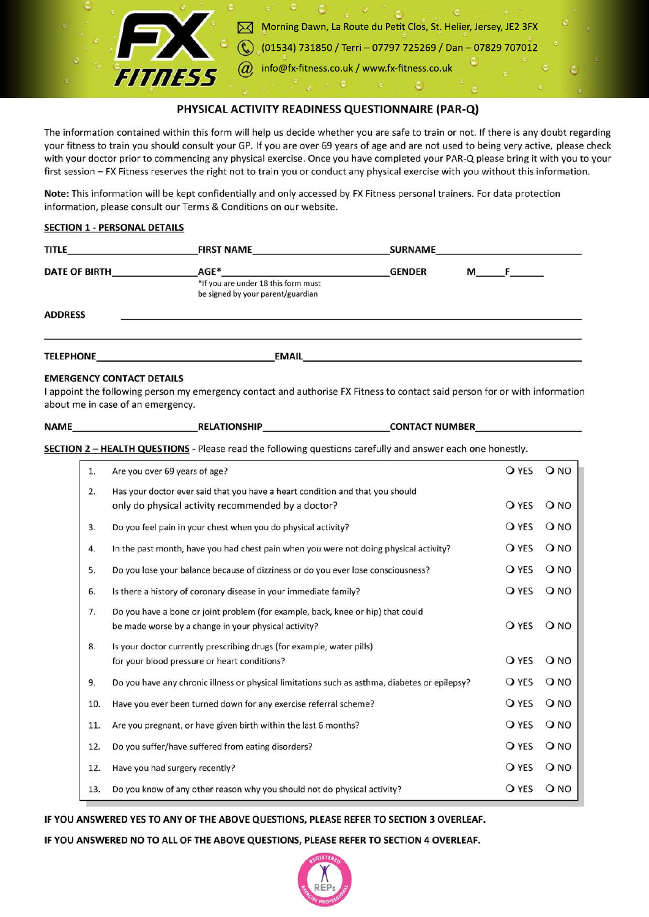

# PHYSICAL ACTIVITY READINESS QUESTIONNAIRE (PAR-Q)

The information contained within this form will help us decide whether you are safe to train or not. If there is any doubt regarding your fitness to train you should consult your GP. If you are over 69 years of age and are not used to being very active, please check with your doctor prior to commencing any physical exercise. Once you have completed your PAR-Q please bring it with you to your first session - FX Fitness reserves the right not to train you or conduct any physical exercise with you without this information.

Note: This information will be kept confidentially and only accessed by FX Fitness personal trainers. For data protection information, please consult our Terms & Conditions on our website.

## **SECTION 1 - PERSONAL DETAILS**

| <b>TITLE</b>         | <b>FIRST NAME</b>                                                                | <b>SURNAME</b>            |  |  |
|----------------------|----------------------------------------------------------------------------------|---------------------------|--|--|
| <b>DATE OF BIRTH</b> | AGE*<br>*If you are under 18 this form must<br>be signed by your parent/guardian | <b>GENDER</b><br>$M \t F$ |  |  |
| <b>ADDRESS</b>       |                                                                                  |                           |  |  |
| <b>TELEPHONE</b>     | <b>EMAIL</b>                                                                     |                           |  |  |

### **EMERGENCY CONTACT DETAILS**

I appoint the following person my emergency contact and authorise FX Fitness to contact said person for or with information about me in case of an emergency.

| <b>NAME</b> | <b>RELATIONSHIP</b> | <b>CONTACT NUMBER</b> |  |
|-------------|---------------------|-----------------------|--|
|             |                     |                       |  |

**SECTION 2 - HEALTH QUESTIONS** - Please read the following questions carefully and answer each one honestly.

| 1.  | Are you over 69 years of age?                                                                 | <b>O</b> YES | O NO |
|-----|-----------------------------------------------------------------------------------------------|--------------|------|
| 2.  | Has your doctor ever said that you have a heart condition and that you should                 |              |      |
|     | only do physical activity recommended by a doctor?                                            | <b>O</b> YES | O NO |
| 3.  | Do you feel pain in your chest when you do physical activity?                                 | O YES        | QNO  |
| 4.  | In the past month, have you had chest pain when you were not doing physical activity?         | <b>O</b> YES | O NO |
| 5.  | Do you lose your balance because of dizziness or do you ever lose consciousness?              | <b>O</b> YES | O NO |
| 6.  | Is there a history of coronary disease in your immediate family?                              | <b>O</b> YES | QNO  |
| 7.  | Do you have a bone or joint problem (for example, back, knee or hip) that could               |              |      |
|     | be made worse by a change in your physical activity?                                          | <b>O</b> YES | O NO |
| 8.  | Is your doctor currently prescribing drugs (for example, water pills)                         |              |      |
|     | for your blood pressure or heart conditions?                                                  | <b>O</b> YES | O NO |
| 9.  | Do you have any chronic illness or physical limitations such as asthma, diabetes or epilepsy? | <b>O</b> YES | O NO |
| 10. | Have you ever been turned down for any exercise referral scheme?                              | <b>O</b> YES | O NO |
| 11. | Are you pregnant, or have given birth within the last 6 months?                               | O YES        | O NO |
| 12. | Do you suffer/have suffered from eating disorders?                                            | <b>O</b> YES | QNO  |
| 12. | Have you had surgery recently?                                                                | O YES        | O NO |
| 13. | Do you know of any other reason why you should not do physical activity?                      | <b>O</b> YES | O NO |

### IF YOU ANSWERED YES TO ANY OF THE ABOVE QUESTIONS, PLEASE REFER TO SECTION 3 OVERLEAF.

IF YOU ANSWERED NO TO ALL OF THE ABOVE QUESTIONS, PLEASE REFER TO SECTION 4 OVERLEAF.